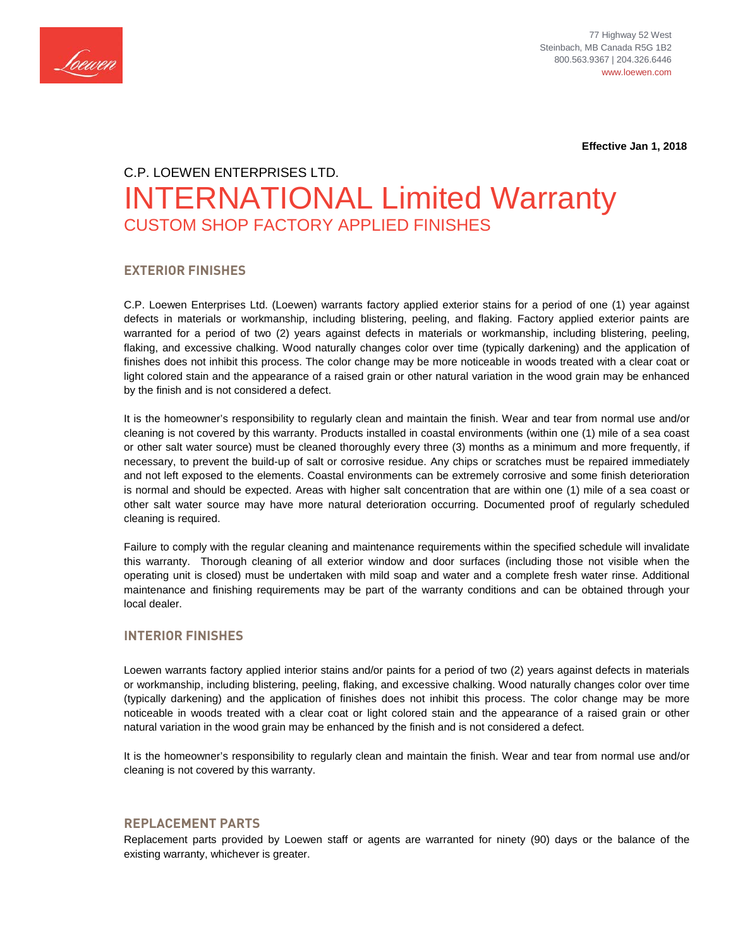

 **Effective Jan 1, 2018**

# C.P. LOEWEN ENTERPRISES LTD. INTERNATIONAL Limited Warranty CUSTOM SHOP FACTORY APPLIED FINISHES

## **EXTERIOR FINISHES**

C.P. Loewen Enterprises Ltd. (Loewen) warrants factory applied exterior stains for a period of one (1) year against defects in materials or workmanship, including blistering, peeling, and flaking. Factory applied exterior paints are warranted for a period of two (2) years against defects in materials or workmanship, including blistering, peeling, flaking, and excessive chalking. Wood naturally changes color over time (typically darkening) and the application of finishes does not inhibit this process. The color change may be more noticeable in woods treated with a clear coat or light colored stain and the appearance of a raised grain or other natural variation in the wood grain may be enhanced by the finish and is not considered a defect.

It is the homeowner's responsibility to regularly clean and maintain the finish. Wear and tear from normal use and/or cleaning is not covered by this warranty. Products installed in coastal environments (within one (1) mile of a sea coast or other salt water source) must be cleaned thoroughly every three (3) months as a minimum and more frequently, if necessary, to prevent the build-up of salt or corrosive residue. Any chips or scratches must be repaired immediately and not left exposed to the elements. Coastal environments can be extremely corrosive and some finish deterioration is normal and should be expected. Areas with higher salt concentration that are within one (1) mile of a sea coast or other salt water source may have more natural deterioration occurring. Documented proof of regularly scheduled cleaning is required.

Failure to comply with the regular cleaning and maintenance requirements within the specified schedule will invalidate this warranty. Thorough cleaning of all exterior window and door surfaces (including those not visible when the operating unit is closed) must be undertaken with mild soap and water and a complete fresh water rinse. Additional maintenance and finishing requirements may be part of the warranty conditions and can be obtained through your local dealer.

# **INTERIOR FINISHES**

Loewen warrants factory applied interior stains and/or paints for a period of two (2) years against defects in materials or workmanship, including blistering, peeling, flaking, and excessive chalking. Wood naturally changes color over time (typically darkening) and the application of finishes does not inhibit this process. The color change may be more noticeable in woods treated with a clear coat or light colored stain and the appearance of a raised grain or other natural variation in the wood grain may be enhanced by the finish and is not considered a defect.

It is the homeowner's responsibility to regularly clean and maintain the finish. Wear and tear from normal use and/or cleaning is not covered by this warranty.

#### **REPLACEMENT PARTS**

Replacement parts provided by Loewen staff or agents are warranted for ninety (90) days or the balance of the existing warranty, whichever is greater.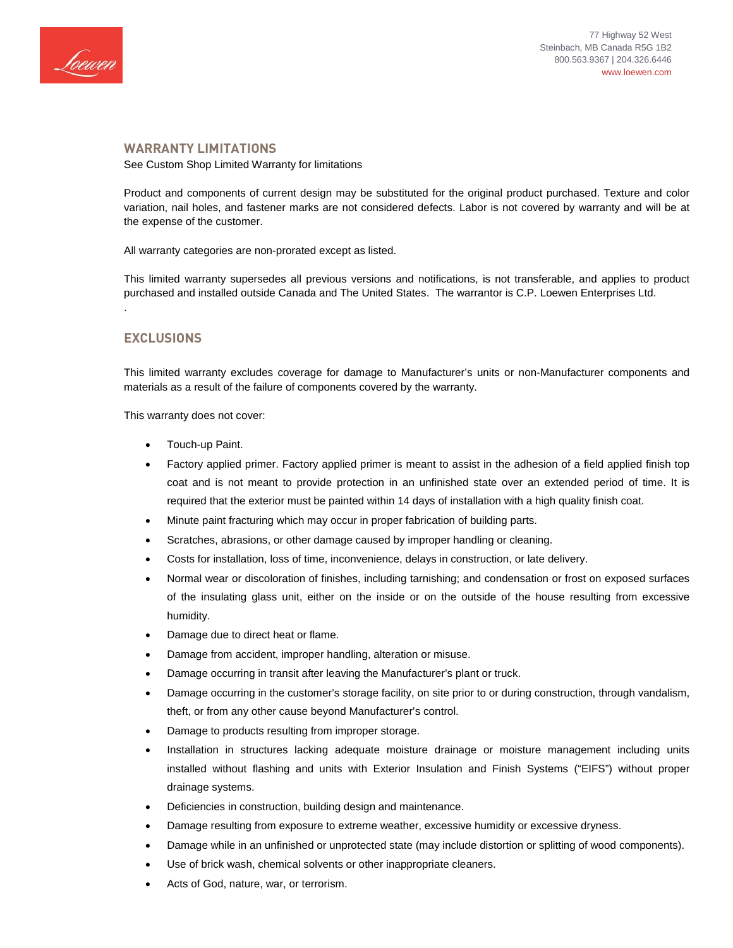

#### **WARRANTY LIMITATIONS**

See Custom Shop Limited Warranty for limitations

Product and components of current design may be substituted for the original product purchased. Texture and color variation, nail holes, and fastener marks are not considered defects. Labor is not covered by warranty and will be at the expense of the customer.

All warranty categories are non-prorated except as listed.

This limited warranty supersedes all previous versions and notifications, is not transferable, and applies to product purchased and installed outside Canada and The United States. The warrantor is C.P. Loewen Enterprises Ltd. .

## **EXCLUSIONS**

This limited warranty excludes coverage for damage to Manufacturer's units or non-Manufacturer components and materials as a result of the failure of components covered by the warranty.

This warranty does not cover:

- Touch-up Paint.
- Factory applied primer. Factory applied primer is meant to assist in the adhesion of a field applied finish top coat and is not meant to provide protection in an unfinished state over an extended period of time. It is required that the exterior must be painted within 14 days of installation with a high quality finish coat.
- Minute paint fracturing which may occur in proper fabrication of building parts.
- Scratches, abrasions, or other damage caused by improper handling or cleaning.
- Costs for installation, loss of time, inconvenience, delays in construction, or late delivery.
- Normal wear or discoloration of finishes, including tarnishing; and condensation or frost on exposed surfaces of the insulating glass unit, either on the inside or on the outside of the house resulting from excessive humidity.
- Damage due to direct heat or flame.
- Damage from accident, improper handling, alteration or misuse.
- Damage occurring in transit after leaving the Manufacturer's plant or truck.
- Damage occurring in the customer's storage facility, on site prior to or during construction, through vandalism, theft, or from any other cause beyond Manufacturer's control.
- Damage to products resulting from improper storage.
- Installation in structures lacking adequate moisture drainage or moisture management including units installed without flashing and units with Exterior Insulation and Finish Systems ("EIFS") without proper drainage systems.
- Deficiencies in construction, building design and maintenance.
- Damage resulting from exposure to extreme weather, excessive humidity or excessive dryness.
- Damage while in an unfinished or unprotected state (may include distortion or splitting of wood components).
- Use of brick wash, chemical solvents or other inappropriate cleaners.
- Acts of God, nature, war, or terrorism.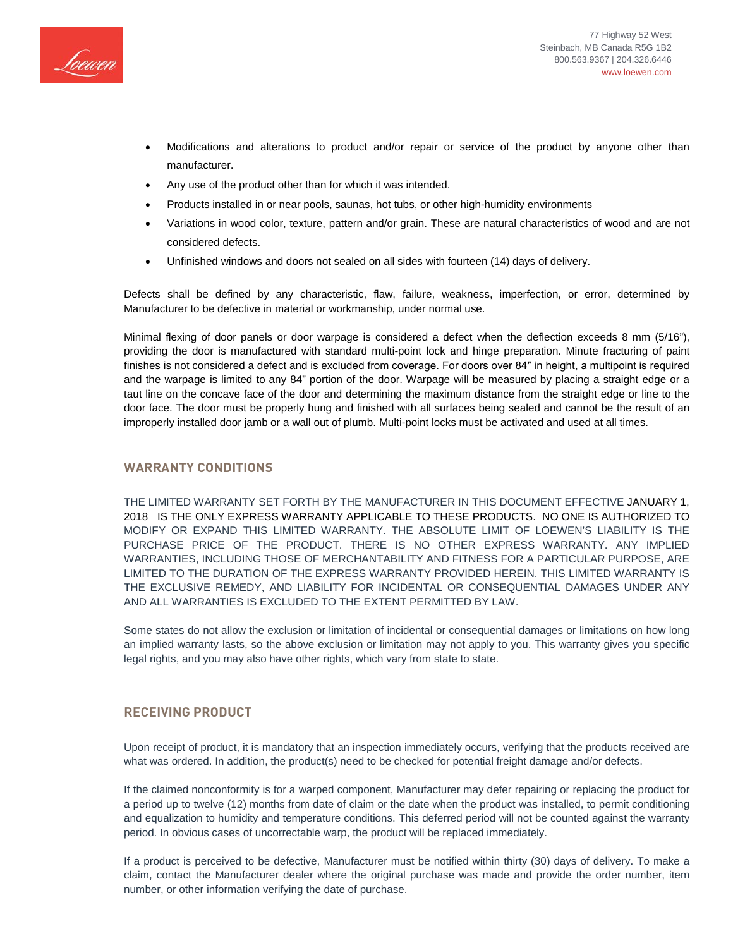

- Modifications and alterations to product and/or repair or service of the product by anyone other than manufacturer.
- Any use of the product other than for which it was intended.
- Products installed in or near pools, saunas, hot tubs, or other high-humidity environments
- Variations in wood color, texture, pattern and/or grain. These are natural characteristics of wood and are not considered defects.
- Unfinished windows and doors not sealed on all sides with fourteen (14) days of delivery.

Defects shall be defined by any characteristic, flaw, failure, weakness, imperfection, or error, determined by Manufacturer to be defective in material or workmanship, under normal use.

Minimal flexing of door panels or door warpage is considered a defect when the deflection exceeds 8 mm (5/16"), providing the door is manufactured with standard multi-point lock and hinge preparation. Minute fracturing of paint finishes is not considered a defect and is excluded from coverage. For doors over 84″ in height, a multipoint is required and the warpage is limited to any 84" portion of the door. Warpage will be measured by placing a straight edge or a taut line on the concave face of the door and determining the maximum distance from the straight edge or line to the door face. The door must be properly hung and finished with all surfaces being sealed and cannot be the result of an improperly installed door jamb or a wall out of plumb. Multi-point locks must be activated and used at all times.

### **WARRANTY CONDITIONS**

THE LIMITED WARRANTY SET FORTH BY THE MANUFACTURER IN THIS DOCUMENT EFFECTIVE JANUARY 1, 2018 IS THE ONLY EXPRESS WARRANTY APPLICABLE TO THESE PRODUCTS. NO ONE IS AUTHORIZED TO MODIFY OR EXPAND THIS LIMITED WARRANTY. THE ABSOLUTE LIMIT OF LOEWEN'S LIABILITY IS THE PURCHASE PRICE OF THE PRODUCT. THERE IS NO OTHER EXPRESS WARRANTY. ANY IMPLIED WARRANTIES, INCLUDING THOSE OF MERCHANTABILITY AND FITNESS FOR A PARTICULAR PURPOSE, ARE LIMITED TO THE DURATION OF THE EXPRESS WARRANTY PROVIDED HEREIN. THIS LIMITED WARRANTY IS THE EXCLUSIVE REMEDY, AND LIABILITY FOR INCIDENTAL OR CONSEQUENTIAL DAMAGES UNDER ANY AND ALL WARRANTIES IS EXCLUDED TO THE EXTENT PERMITTED BY LAW.

Some states do not allow the exclusion or limitation of incidental or consequential damages or limitations on how long an implied warranty lasts, so the above exclusion or limitation may not apply to you. This warranty gives you specific legal rights, and you may also have other rights, which vary from state to state.

#### **RECEIVING PRODUCT**

Upon receipt of product, it is mandatory that an inspection immediately occurs, verifying that the products received are what was ordered. In addition, the product(s) need to be checked for potential freight damage and/or defects.

If the claimed nonconformity is for a warped component, Manufacturer may defer repairing or replacing the product for a period up to twelve (12) months from date of claim or the date when the product was installed, to permit conditioning and equalization to humidity and temperature conditions. This deferred period will not be counted against the warranty period. In obvious cases of uncorrectable warp, the product will be replaced immediately.

If a product is perceived to be defective, Manufacturer must be notified within thirty (30) days of delivery. To make a claim, contact the Manufacturer dealer where the original purchase was made and provide the order number, item number, or other information verifying the date of purchase.